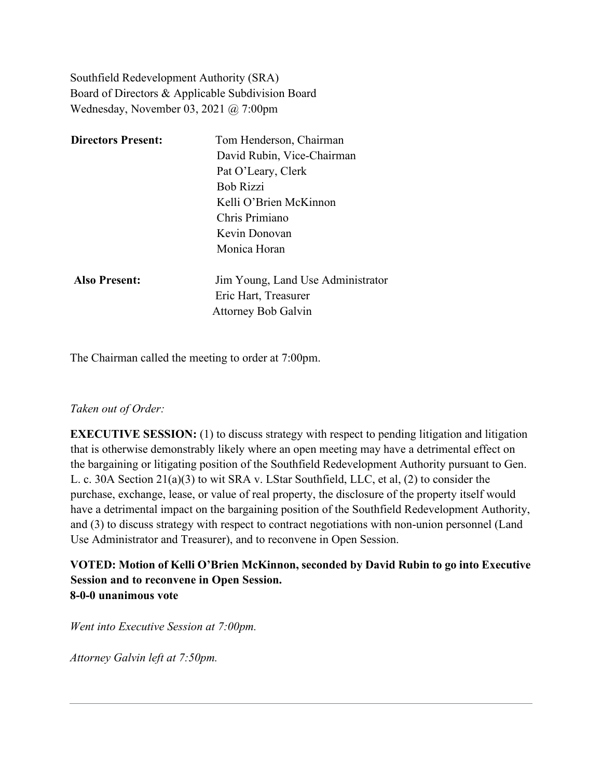Southfield Redevelopment Authority (SRA) Board of Directors & Applicable Subdivision Board Wednesday, November 03, 2021 @ 7:00pm

| <b>Directors Present:</b> | Tom Henderson, Chairman           |
|---------------------------|-----------------------------------|
|                           | David Rubin, Vice-Chairman        |
|                           | Pat O'Leary, Clerk                |
|                           | <b>Bob Rizzi</b>                  |
|                           | Kelli O'Brien McKinnon            |
|                           | Chris Primiano                    |
|                           | Kevin Donovan                     |
|                           | Monica Horan                      |
| <b>Also Present:</b>      | Jim Young, Land Use Administrator |
|                           | Eric Hart, Treasurer              |
|                           | <b>Attorney Bob Galvin</b>        |
|                           |                                   |

The Chairman called the meeting to order at 7:00pm.

#### *Taken out of Order:*

**EXECUTIVE SESSION:** (1) to discuss strategy with respect to pending litigation and litigation that is otherwise demonstrably likely where an open meeting may have a detrimental effect on the bargaining or litigating position of the Southfield Redevelopment Authority pursuant to Gen. L. c. 30A Section 21(a)(3) to wit SRA v. LStar Southfield, LLC, et al, (2) to consider the purchase, exchange, lease, or value of real property, the disclosure of the property itself would have a detrimental impact on the bargaining position of the Southfield Redevelopment Authority, and (3) to discuss strategy with respect to contract negotiations with non-union personnel (Land Use Administrator and Treasurer), and to reconvene in Open Session.

### **VOTED: Motion of Kelli O'Brien McKinnon, seconded by David Rubin to go into Executive Session and to reconvene in Open Session. 8-0-0 unanimous vote**

*Went into Executive Session at 7:00pm.*

*Attorney Galvin left at 7:50pm.*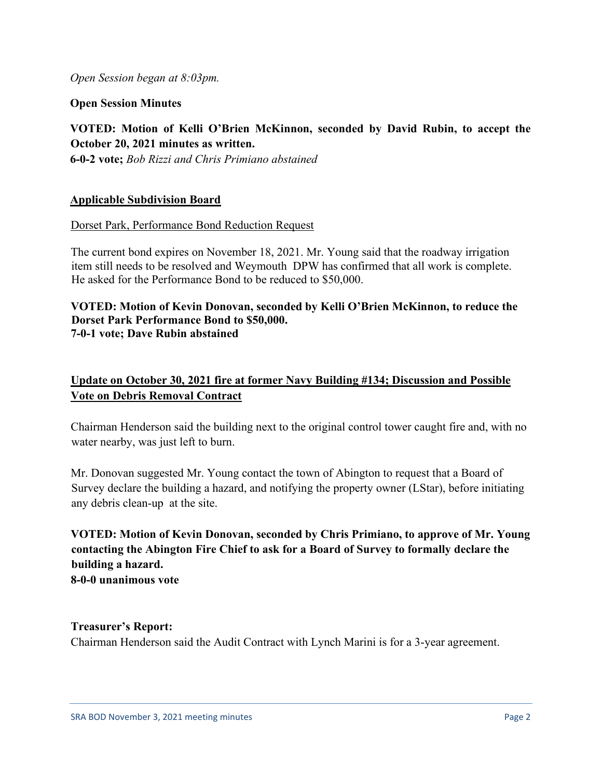*Open Session began at 8:03pm.*

**Open Session Minutes**

**VOTED: Motion of Kelli O'Brien McKinnon, seconded by David Rubin, to accept the October 20, 2021 minutes as written. 6-0-2 vote;** *Bob Rizzi and Chris Primiano abstained*

#### **Applicable Subdivision Board**

Dorset Park, Performance Bond Reduction Request

The current bond expires on November 18, 2021. Mr. Young said that the roadway irrigation item still needs to be resolved and Weymouth DPW has confirmed that all work is complete. He asked for the Performance Bond to be reduced to \$50,000.

#### **VOTED: Motion of Kevin Donovan, seconded by Kelli O'Brien McKinnon, to reduce the Dorset Park Performance Bond to \$50,000. 7-0-1 vote; Dave Rubin abstained**

# **Update on October 30, 2021 fire at former Navy Building #134; Discussion and Possible Vote on Debris Removal Contract**

Chairman Henderson said the building next to the original control tower caught fire and, with no water nearby, was just left to burn.

Mr. Donovan suggested Mr. Young contact the town of Abington to request that a Board of Survey declare the building a hazard, and notifying the property owner (LStar), before initiating any debris clean-up at the site.

## **VOTED: Motion of Kevin Donovan, seconded by Chris Primiano, to approve of Mr. Young contacting the Abington Fire Chief to ask for a Board of Survey to formally declare the building a hazard. 8-0-0 unanimous vote**

**Treasurer's Report:** Chairman Henderson said the Audit Contract with Lynch Marini is for a 3-year agreement.